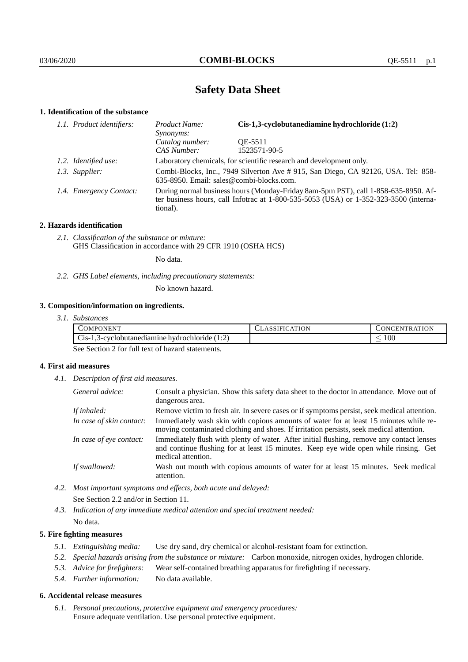# **Safety Data Sheet**

## **1. Identification of the substance**

| 1.1. Product identifiers: | Product Name:<br>Synonyms:                                                                                                                                                              | $Cis-1,3$ -cyclobutanediamine hydrochloride $(1:2)$                 |
|---------------------------|-----------------------------------------------------------------------------------------------------------------------------------------------------------------------------------------|---------------------------------------------------------------------|
|                           | Catalog number:<br>CAS Number:                                                                                                                                                          | OE-5511<br>1523571-90-5                                             |
| 1.2. Identified use:      |                                                                                                                                                                                         | Laboratory chemicals, for scientific research and development only. |
| 1.3. Supplier:            | Combi-Blocks, Inc., 7949 Silverton Ave # 915, San Diego, CA 92126, USA. Tel: 858-<br>635-8950. Email: sales@combi-blocks.com.                                                           |                                                                     |
| 1.4. Emergency Contact:   | During normal business hours (Monday-Friday 8am-5pm PST), call 1-858-635-8950. Af-<br>ter business hours, call Infotrac at 1-800-535-5053 (USA) or 1-352-323-3500 (interna-<br>tional). |                                                                     |

### **2. Hazards identification**

*2.1. Classification of the substance or mixture:* GHS Classification in accordance with 29 CFR 1910 (OSHA HCS)

No data.

*2.2. GHS Label elements, including precautionary statements:*

No known hazard.

## **3. Composition/information on ingredients.**

| 3.1. Substances |  |
|-----------------|--|
|                 |  |

| <b>ATM</b><br>COMPC<br>PONEN <sub>1</sub><br>the contract of the contract of the contract of                                    | ١N | `TION<br>- E N<br>TR.<br>)N |
|---------------------------------------------------------------------------------------------------------------------------------|----|-----------------------------|
| $\sim$<br>- 4<br>⌒<br>3-cyclobutanediamine<br>hydrochloride<br>$\bigcup$ 1S-1<br>.<br>سد<br>the contract of the contract of the |    | 100<br>_                    |

See Section 2 for full text of hazard statements.

### **4. First aid measures**

*4.1. Description of first aid measures.*

| General advice:          | Consult a physician. Show this safety data sheet to the doctor in attendance. Move out of<br>dangerous area.                                                                                            |
|--------------------------|---------------------------------------------------------------------------------------------------------------------------------------------------------------------------------------------------------|
| If inhaled:              | Remove victim to fresh air. In severe cases or if symptoms persist, seek medical attention.                                                                                                             |
| In case of skin contact: | Immediately wash skin with copious amounts of water for at least 15 minutes while re-<br>moving contaminated clothing and shoes. If irritation persists, seek medical attention.                        |
| In case of eye contact:  | Immediately flush with plenty of water. After initial flushing, remove any contact lenses<br>and continue flushing for at least 15 minutes. Keep eye wide open while rinsing. Get<br>medical attention. |
| If swallowed:            | Wash out mouth with copious amounts of water for at least 15 minutes. Seek medical<br>attention.                                                                                                        |

*4.2. Most important symptoms and effects, both acute and delayed:* See Section 2.2 and/or in Section 11.

*4.3. Indication of any immediate medical attention and special treatment needed:* No data.

### **5. Fire fighting measures**

- *5.1. Extinguishing media:* Use dry sand, dry chemical or alcohol-resistant foam for extinction.
- *5.2. Special hazards arising from the substance or mixture:* Carbon monoxide, nitrogen oxides, hydrogen chloride.
- *5.3. Advice for firefighters:* Wear self-contained breathing apparatus for firefighting if necessary.
- *5.4. Further information:* No data available.

### **6. Accidental release measures**

*6.1. Personal precautions, protective equipment and emergency procedures:* Ensure adequate ventilation. Use personal protective equipment.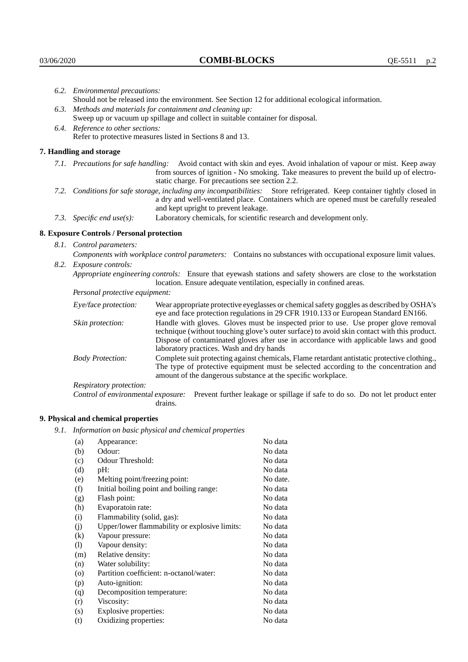|                                                                                                  | 6.2. Environmental precautions:                                                                                                                                                                                                                            |                                                                                                                                                                                                                                                                    |  |  |  |
|--------------------------------------------------------------------------------------------------|------------------------------------------------------------------------------------------------------------------------------------------------------------------------------------------------------------------------------------------------------------|--------------------------------------------------------------------------------------------------------------------------------------------------------------------------------------------------------------------------------------------------------------------|--|--|--|
|                                                                                                  | Should not be released into the environment. See Section 12 for additional ecological information.                                                                                                                                                         |                                                                                                                                                                                                                                                                    |  |  |  |
|                                                                                                  |                                                                                                                                                                                                                                                            | 6.3. Methods and materials for containment and cleaning up:                                                                                                                                                                                                        |  |  |  |
|                                                                                                  |                                                                                                                                                                                                                                                            | Sweep up or vacuum up spillage and collect in suitable container for disposal.                                                                                                                                                                                     |  |  |  |
|                                                                                                  | 6.4. Reference to other sections:                                                                                                                                                                                                                          |                                                                                                                                                                                                                                                                    |  |  |  |
|                                                                                                  |                                                                                                                                                                                                                                                            | Refer to protective measures listed in Sections 8 and 13.                                                                                                                                                                                                          |  |  |  |
|                                                                                                  | 7. Handling and storage                                                                                                                                                                                                                                    |                                                                                                                                                                                                                                                                    |  |  |  |
|                                                                                                  |                                                                                                                                                                                                                                                            | 7.1. Precautions for safe handling: Avoid contact with skin and eyes. Avoid inhalation of vapour or mist. Keep away<br>from sources of ignition - No smoking. Take measures to prevent the build up of electro-<br>static charge. For precautions see section 2.2. |  |  |  |
|                                                                                                  | 7.2. Conditions for safe storage, including any incompatibilities: Store refrigerated. Keep container tightly closed in<br>a dry and well-ventilated place. Containers which are opened must be carefully resealed<br>and kept upright to prevent leakage. |                                                                                                                                                                                                                                                                    |  |  |  |
| Laboratory chemicals, for scientific research and development only.<br>7.3. Specific end use(s): |                                                                                                                                                                                                                                                            |                                                                                                                                                                                                                                                                    |  |  |  |
|                                                                                                  | 8. Exposure Controls / Personal protection                                                                                                                                                                                                                 |                                                                                                                                                                                                                                                                    |  |  |  |
|                                                                                                  | 8.1. Control parameters:                                                                                                                                                                                                                                   |                                                                                                                                                                                                                                                                    |  |  |  |
|                                                                                                  | Components with workplace control parameters: Contains no substances with occupational exposure limit values.                                                                                                                                              |                                                                                                                                                                                                                                                                    |  |  |  |
|                                                                                                  | 8.2. Exposure controls:                                                                                                                                                                                                                                    |                                                                                                                                                                                                                                                                    |  |  |  |
|                                                                                                  | Appropriate engineering controls: Ensure that eyewash stations and safety showers are close to the workstation<br>location. Ensure adequate ventilation, especially in confined areas.                                                                     |                                                                                                                                                                                                                                                                    |  |  |  |
|                                                                                                  | Personal protective equipment:                                                                                                                                                                                                                             |                                                                                                                                                                                                                                                                    |  |  |  |
|                                                                                                  | Eye/face protection:                                                                                                                                                                                                                                       | Wear appropriate protective eyeglasses or chemical safety goggles as described by OSHA's<br>eye and face protection regulations in 29 CFR 1910.133 or European Standard EN166.                                                                                     |  |  |  |
|                                                                                                  | Skin protection:                                                                                                                                                                                                                                           | Handle with gloves. Gloves must be inspected prior to use. Use proper glove removal<br>technique (without touching glove's outer surface) to avoid skin contact with this product.                                                                                 |  |  |  |

## **8. Exposure Controls / Personal protection**

| Eye/face protection:                                                                    | Wear appropriate protective eyeglasses or chemical safety goggles as described by OSHA's<br>eye and face protection regulations in 29 CFR 1910.133 or European Standard EN166.                                                                                                                                         |                                                                                                                                                                                      |  |
|-----------------------------------------------------------------------------------------|------------------------------------------------------------------------------------------------------------------------------------------------------------------------------------------------------------------------------------------------------------------------------------------------------------------------|--------------------------------------------------------------------------------------------------------------------------------------------------------------------------------------|--|
| Skin protection:                                                                        | Handle with gloves. Gloves must be inspected prior to use. Use proper glove removal<br>technique (without touching glove's outer surface) to avoid skin contact with this product.<br>Dispose of contaminated gloves after use in accordance with applicable laws and good<br>laboratory practices. Wash and dry hands |                                                                                                                                                                                      |  |
| <b>Body Protection:</b><br>amount of the dangerous substance at the specific workplace. |                                                                                                                                                                                                                                                                                                                        | Complete suit protecting against chemicals, Flame retardant antistatic protective clothing.,<br>The type of protective equipment must be selected according to the concentration and |  |
| Respiratory protection:                                                                 |                                                                                                                                                                                                                                                                                                                        |                                                                                                                                                                                      |  |
| Control of environmental exposure:                                                      | drains.                                                                                                                                                                                                                                                                                                                | Prevent further leakage or spillage if safe to do so. Do not let product enter                                                                                                       |  |

## **9. Physical and chemical properties**

*9.1. Information on basic physical and chemical properties*

| (a)                        | Appearance:                                   | No data  |
|----------------------------|-----------------------------------------------|----------|
| (b)                        | Odour:                                        | No data  |
| (c)                        | Odour Threshold:                              | No data  |
| (d)                        | pH:                                           | No data  |
| (e)                        | Melting point/freezing point:                 | No date. |
| (f)                        | Initial boiling point and boiling range:      | No data  |
| (g)                        | Flash point:                                  | No data  |
| (h)                        | Evaporatoin rate:                             | No data  |
| (i)                        | Flammability (solid, gas):                    | No data  |
| (j)                        | Upper/lower flammability or explosive limits: | No data  |
| $\rm(k)$                   | Vapour pressure:                              | No data  |
| $\left( \mathrm{l}\right)$ | Vapour density:                               | No data  |
| (m)                        | Relative density:                             | No data  |
| (n)                        | Water solubility:                             | No data  |
| $\rm (o)$                  | Partition coefficient: n-octanol/water:       | No data  |
| (p)                        | Auto-ignition:                                | No data  |
| (q)                        | Decomposition temperature:                    | No data  |
| (r)                        | Viscosity:                                    | No data  |
| (s)                        | Explosive properties:                         | No data  |
| (t)                        | Oxidizing properties:                         | No data  |